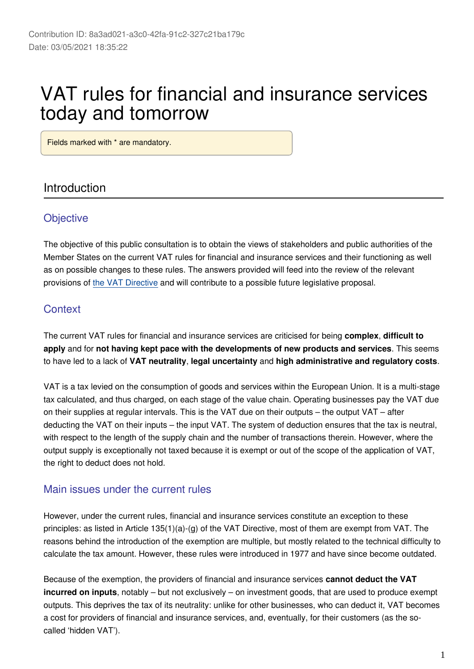# VAT rules for financial and insurance services today and tomorrow

Fields marked with \* are mandatory.

### Introduction

### **Objective**

The objective of this public consultation is to obtain the views of stakeholders and public authorities of the Member States on the current VAT rules for financial and insurance services and their functioning as well as on possible changes to these rules. The answers provided will feed into the review of the relevant provisions of [the VAT Directive](https://eur-lex.europa.eu/eli/dir/2006/112/oj) and will contribute to a possible future legislative proposal.

### **Context**

The current VAT rules for financial and insurance services are criticised for being **complex**, **difficult to apply** and for **not having kept pace with the developments of new products and services**. This seems to have led to a lack of **VAT neutrality**, **legal uncertainty** and **high administrative and regulatory costs**.

VAT is a tax levied on the consumption of goods and services within the European Union. It is a multi-stage tax calculated, and thus charged, on each stage of the value chain. Operating businesses pay the VAT due on their supplies at regular intervals. This is the VAT due on their outputs – the output VAT – after deducting the VAT on their inputs – the input VAT. The system of deduction ensures that the tax is neutral, with respect to the length of the supply chain and the number of transactions therein. However, where the output supply is exceptionally not taxed because it is exempt or out of the scope of the application of VAT, the right to deduct does not hold.

### Main issues under the current rules

However, under the current rules, financial and insurance services constitute an exception to these principles: as listed in Article  $135(1)(a)-(g)$  of the VAT Directive, most of them are exempt from VAT. The reasons behind the introduction of the exemption are multiple, but mostly related to the technical difficulty to calculate the tax amount. However, these rules were introduced in 1977 and have since become outdated.

Because of the exemption, the providers of financial and insurance services **cannot deduct the VAT incurred on inputs**, notably – but not exclusively – on investment goods, that are used to produce exempt outputs. This deprives the tax of its neutrality: unlike for other businesses, who can deduct it, VAT becomes a cost for providers of financial and insurance services, and, eventually, for their customers (as the socalled 'hidden VAT').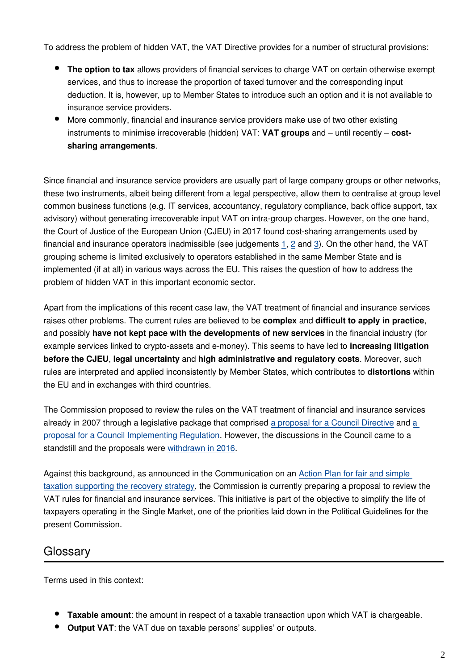To address the problem of hidden VAT, the VAT Directive provides for a number of structural provisions:

- **The option to tax** allows providers of financial services to charge VAT on certain otherwise exempt services, and thus to increase the proportion of taxed turnover and the corresponding input deduction. It is, however, up to Member States to introduce such an option and it is not available to insurance service providers.
- More commonly, financial and insurance service providers make use of two other existing instruments to minimise irrecoverable (hidden) VAT: **VAT groups** and – until recently – **costsharing arrangements**.

Since financial and insurance service providers are usually part of large company groups or other networks, these two instruments, albeit being different from a legal perspective, allow them to centralise at group level common business functions (e.g. IT services, accountancy, regulatory compliance, back office support, tax advisory) without generating irrecoverable input VAT on intra-group charges. However, on the one hand, the Court of Justice of the European Union (CJEU) in 2017 found cost-sharing arrangements used by financial and insurance operators inadmissible (see judgements [1,](http://curia.europa.eu/juris/document/document.jsf;jsessionid=EAD520AE38295B97CF168C8E4773B457?text=&docid=194787&pageIndex=0&doclang=EN&mode=lst&dir=&occ=first&part=1&cid=17258432) [2](http://curia.europa.eu/juris/document/document.jsf?text=&docid=194781&pageIndex=0&doclang=EN&mode=lst&dir=&occ=first&part=1&cid=17258608) and [3](http://curia.europa.eu/juris/document/document.jsf?text=&docid=194792&pageIndex=0&doclang=EN&mode=lst&dir=&occ=first&part=1&cid=17258722)). On the other hand, the VAT grouping scheme is limited exclusively to operators established in the same Member State and is implemented (if at all) in various ways across the EU. This raises the question of how to address the problem of hidden VAT in this important economic sector.

Apart from the implications of this recent case law, the VAT treatment of financial and insurance services raises other problems. The current rules are believed to be **complex** and **difficult to apply in practice**, and possibly **have not kept pace with the developments of new services** in the financial industry (for example services linked to crypto-assets and e-money). This seems to have led to **increasing litigation before the CJEU**, **legal uncertainty** and **high administrative and regulatory costs**. Moreover, such rules are interpreted and applied inconsistently by Member States, which contributes to **distortions** within the EU and in exchanges with third countries.

The Commission proposed to review the rules on the VAT treatment of financial and insurance services already in 2007 through a legislative package that comprised [a proposal for a Council Directive](https://eur-lex.europa.eu/legal-content/EN/TXT/?uri=celex%3A52007PC0747) and [a](https://eur-lex.europa.eu/procedure/EN/196485)  [proposal for a Council Implementing Regulation](https://eur-lex.europa.eu/procedure/EN/196485). However, the discussions in the Council came to a standstill and the proposals were [withdrawn in 2016](https://eur-lex.europa.eu/legal-content/en/ALL/?uri=CELEX%3A52016XC0430%2801%29).

Against this background, as announced in the Communication on an [Action Plan for fair and simple](https://ec.europa.eu/taxation_customs/sites/taxation/files/2020_tax_package_tax_action_plan_en.pdf)  [taxation supporting the recovery strategy,](https://ec.europa.eu/taxation_customs/sites/taxation/files/2020_tax_package_tax_action_plan_en.pdf) the Commission is currently preparing a proposal to review the VAT rules for financial and insurance services. This initiative is part of the objective to simplify the life of taxpayers operating in the Single Market, one of the priorities laid down in the Political Guidelines for the present Commission.

### Glossary

Terms used in this context:

- **Taxable amount**: the amount in respect of a taxable transaction upon which VAT is chargeable.
- **Output VAT**: the VAT due on taxable persons' supplies' or outputs.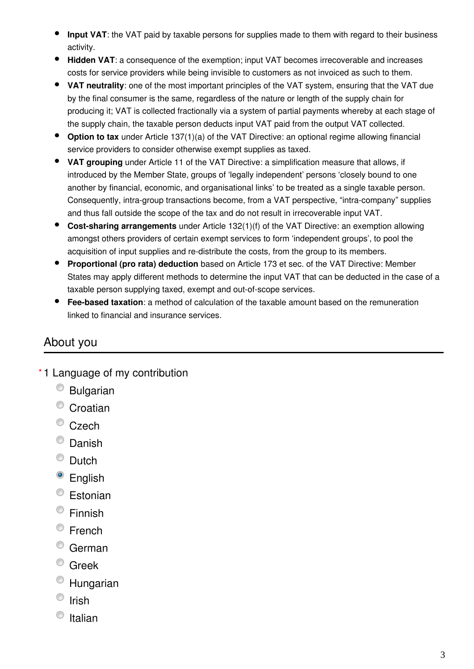- $\bullet$ **Input VAT**: the VAT paid by taxable persons for supplies made to them with regard to their business activity.
- **Hidden VAT**: a consequence of the exemption; input VAT becomes irrecoverable and increases costs for service providers while being invisible to customers as not invoiced as such to them.
- **VAT neutrality**: one of the most important principles of the VAT system, ensuring that the VAT due by the final consumer is the same, regardless of the nature or length of the supply chain for producing it; VAT is collected fractionally via a system of partial payments whereby at each stage of the supply chain, the taxable person deducts input VAT paid from the output VAT collected.
- **Option to tax** under Article 137(1)(a) of the VAT Directive: an optional regime allowing financial service providers to consider otherwise exempt supplies as taxed.
- **VAT grouping** under Article 11 of the VAT Directive: a simplification measure that allows, if introduced by the Member State, groups of 'legally independent' persons 'closely bound to one another by financial, economic, and organisational links' to be treated as a single taxable person. Consequently, intra-group transactions become, from a VAT perspective, "intra-company" supplies and thus fall outside the scope of the tax and do not result in irrecoverable input VAT.
- **Cost-sharing arrangements** under Article 132(1)(f) of the VAT Directive: an exemption allowing amongst others providers of certain exempt services to form 'independent groups', to pool the acquisition of input supplies and re-distribute the costs, from the group to its members.
- $\bullet$ **Proportional (pro rata) deduction** based on Article 173 et sec. of the VAT Directive: Member States may apply different methods to determine the input VAT that can be deducted in the case of a taxable person supplying taxed, exempt and out-of-scope services.
- $\bullet$ **Fee-based taxation**: a method of calculation of the taxable amount based on the remuneration linked to financial and insurance services.

### About you

- 1 Language of my contribution **\***
	- Bulgarian
	- <sup>o</sup> Croatian
	- <sup>©</sup> Czech
	- <sup>O</sup> Danish
	- <sup>O</sup> Dutch
	- <sup>o</sup> English
	- Estonian
	- Finnish
	- French
	- German
	- Greek
	- Hungarian
	- $\circ$  Irish
	- $\bullet$  Italian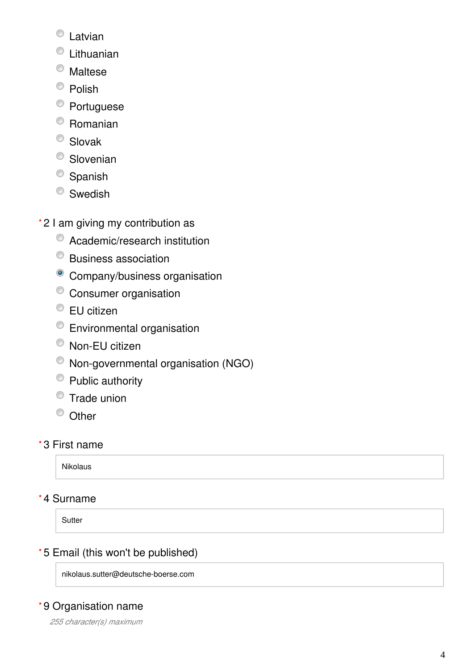- Latvian
- Lithuanian
- Maltese
- <sup>O</sup> Polish
- <sup>O</sup> Portuguese
- Romanian
- <sup>O</sup> Slovak
- <sup>O</sup> Slovenian
- <sup>O</sup> Spanish
- <sup>O</sup> Swedish
- 2 I am giving my contribution as **\***
	- Academic/research institution
	- Business association
	- <sup>o</sup> Company/business organisation
	- <sup>o</sup> Consumer organisation
	- <sup>●</sup> EU citizen
	- Environmental organisation
	- Non-EU citizen
	- Non-governmental organisation (NGO)
	- Public authority
	- **Trade union**
	- <sup>O</sup> Other

### 3 First name **\***

Nikolaus

### 4 Surname **\***

**Sutter** 

### 5 Email (this won't be published) **\***

nikolaus.sutter@deutsche-boerse.com

### 9 Organisation name **\***

*255 character(s) maximum*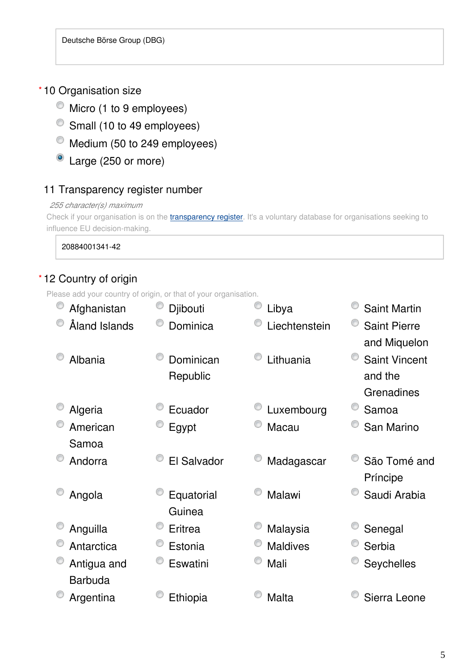### 10 Organisation size **\***

- $\bullet$  Micro (1 to 9 employees)
- Small (10 to 49 employees)
- Medium (50 to 249 employees)
- Large (250 or more)

### 11 Transparency register number

### *255 character(s) maximum*

Check if your organisation is on the *[transparency register](http://ec.europa.eu/transparencyregister/public/homePage.do?redir=false&locale=en)*. It's a voluntary database for organisations seeking to influence EU decision-making.

20884001341-42

### 12 Country of origin **\***

Please add your country of origin, or that of your organisation.

| Afghanistan    | Djibouti    | Libya           | <b>Saint Martin</b>  |
|----------------|-------------|-----------------|----------------------|
| Åland Islands  | Dominica    | Liechtenstein   | <b>Saint Pierre</b>  |
|                |             |                 | and Miquelon         |
| Albania        | Dominican   | Lithuania       | <b>Saint Vincent</b> |
|                | Republic    |                 | and the              |
|                |             |                 | Grenadines           |
| Algeria        | Ecuador     | Luxembourg      | Samoa                |
| American       | Egypt       | Macau           | San Marino           |
| Samoa          |             |                 |                      |
| Andorra        | El Salvador | Madagascar      | São Tomé and         |
|                |             |                 | Príncipe             |
| Angola         | Equatorial  | Malawi          | Saudi Arabia         |
|                | Guinea      |                 |                      |
| Anguilla       | Eritrea     | Malaysia        | Senegal              |
| Antarctica     | Estonia     | <b>Maldives</b> | Serbia               |
| Antigua and    | Eswatini    | Mali            | Seychelles           |
| <b>Barbuda</b> |             |                 |                      |
| Argentina      | Ethiopia    | Malta           | Sierra Leone         |
|                |             |                 |                      |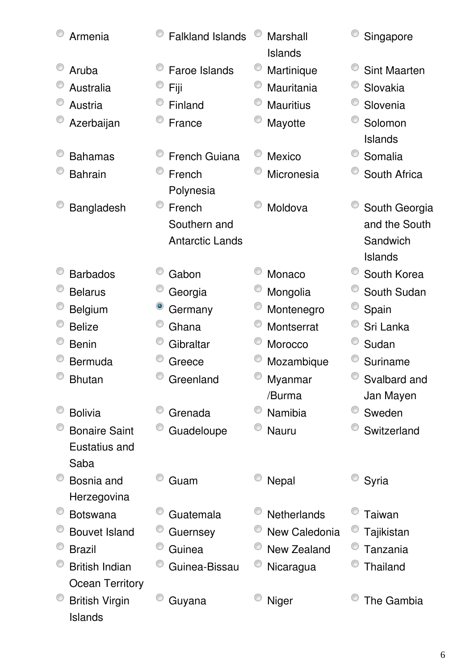| Armenia                          | <b>Falkland Islands</b> | Marshall<br>Islands | Singapore           |
|----------------------------------|-------------------------|---------------------|---------------------|
| Aruba                            | <b>Faroe Islands</b>    | Martinique          | <b>Sint Maarten</b> |
| Australia                        | Fiji                    | Mauritania          | Slovakia            |
| Austria                          | Finland                 | <b>Mauritius</b>    | Slovenia            |
| Azerbaijan                       | France                  | Mayotte             | Solomon             |
|                                  |                         |                     | Islands             |
| <b>Bahamas</b>                   | <b>French Guiana</b>    | Mexico              | Somalia             |
| <b>Bahrain</b>                   | French                  | Micronesia          | South Africa        |
|                                  | Polynesia               |                     |                     |
| Bangladesh                       | French                  | Moldova             | South Georgia       |
|                                  | Southern and            |                     | and the South       |
|                                  | <b>Antarctic Lands</b>  |                     | Sandwich            |
|                                  |                         |                     | Islands             |
| <b>Barbados</b>                  | Gabon                   | Monaco              | South Korea         |
| <b>Belarus</b>                   | Georgia                 | Mongolia            | South Sudan         |
| Belgium                          | Germany                 | Montenegro          | Spain               |
| <b>Belize</b>                    | Ghana                   | Montserrat          | Sri Lanka           |
| <b>Benin</b>                     | Gibraltar               | Morocco             | Sudan               |
| <b>Bermuda</b>                   | Greece                  | Mozambique          | Suriname            |
| <b>Bhutan</b>                    | Greenland               | Myanmar             | Svalbard and        |
|                                  |                         | /Burma              | Jan Mayen           |
| <b>Bolivia</b>                   | Grenada                 | Namibia             | Sweden              |
| <b>Bonaire Saint</b>             | Guadeloupe              | <b>Nauru</b>        | Switzerland         |
| Eustatius and                    |                         |                     |                     |
| Saba                             |                         |                     |                     |
| Bosnia and                       | Guam                    | <b>Nepal</b>        | Syria               |
| Herzegovina                      |                         |                     |                     |
| <b>Botswana</b>                  | Guatemala               | <b>Netherlands</b>  | Taiwan              |
| <b>Bouvet Island</b>             | Guernsey                | New Caledonia       | Tajikistan          |
| <b>Brazil</b>                    | Guinea                  | New Zealand         | Tanzania            |
| <b>British Indian</b>            | Guinea-Bissau           | Nicaragua           | <b>Thailand</b>     |
| Ocean Territory                  |                         |                     | The Gambia          |
| <b>British Virgin</b><br>Islands | Guyana                  | Niger               |                     |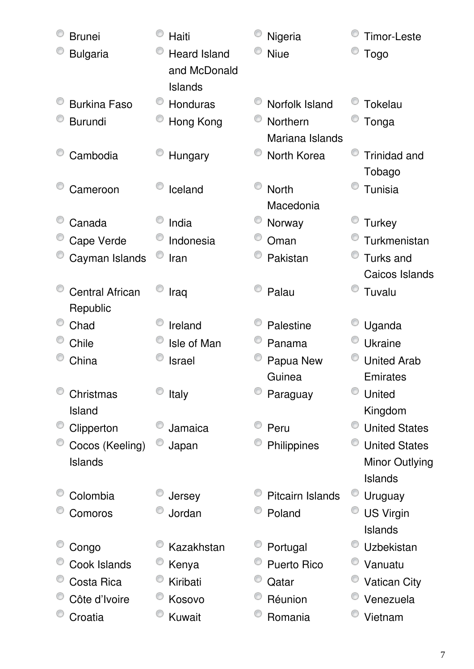| <b>Brunei</b>          | Haiti                                          | Nigeria                 | Timor-Leste          |
|------------------------|------------------------------------------------|-------------------------|----------------------|
| <b>Bulgaria</b>        | <b>Heard Island</b><br>and McDonald<br>Islands | <b>Niue</b>             | <b>Togo</b>          |
| <b>Burkina Faso</b>    | Honduras                                       | Norfolk Island          | <b>Tokelau</b>       |
| <b>Burundi</b>         | Hong Kong                                      | Northern                | Tonga                |
|                        |                                                | Mariana Islands         |                      |
| Cambodia               | Hungary                                        | North Korea             | <b>Trinidad and</b>  |
|                        |                                                |                         | Tobago               |
| Cameroon               | Iceland                                        | <b>North</b>            | <b>Tunisia</b>       |
|                        |                                                | Macedonia               |                      |
| Canada                 | India                                          | Norway                  | Turkey               |
| Cape Verde             | Indonesia                                      | Oman                    | Turkmenistan         |
| Cayman Islands         | Iran                                           | Pakistan                | Turks and            |
|                        |                                                |                         | Caicos Islands       |
| <b>Central African</b> | Iraq                                           | Palau                   | Tuvalu               |
| Republic               |                                                |                         |                      |
| Chad                   | Ireland                                        | Palestine               | Uganda               |
| Chile                  | Isle of Man                                    | Panama                  | <b>Ukraine</b>       |
| China                  | <b>Israel</b>                                  | Papua New               | <b>United Arab</b>   |
|                        |                                                | Guinea                  | Emirates             |
| Christmas              | Italy                                          | Paraguay                | United               |
| Island                 |                                                |                         | Kingdom              |
| Clipperton             | Jamaica                                        | Peru                    | <b>United States</b> |
| Cocos (Keeling)        | Japan                                          | Philippines             | <b>United States</b> |
| <b>Islands</b>         |                                                |                         | Minor Outlying       |
|                        |                                                |                         | Islands              |
| Colombia               | Jersey                                         | <b>Pitcairn Islands</b> | Uruguay              |
| Comoros                | Jordan                                         | Poland                  | <b>US Virgin</b>     |
|                        |                                                |                         | <b>Islands</b>       |
| Congo                  | Kazakhstan                                     | Portugal                | <b>Uzbekistan</b>    |
| Cook Islands           | Kenya                                          | <b>Puerto Rico</b>      | Vanuatu              |
| Costa Rica             | Kiribati                                       | Qatar                   | <b>Vatican City</b>  |
| Côte d'Ivoire          | Kosovo                                         | Réunion                 | Venezuela            |
| Croatia                | Kuwait                                         | Romania                 | Vietnam              |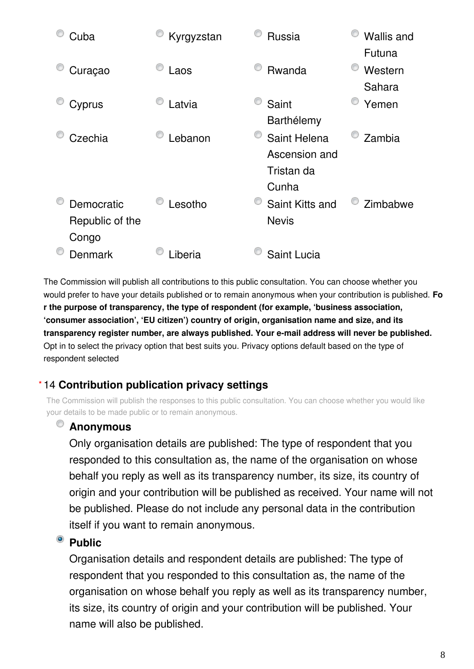

The Commission will publish all contributions to this public consultation. You can choose whether you would prefer to have your details published or to remain anonymous when your contribution is published. **Fo r the purpose of transparency, the type of respondent (for example, 'business association, 'consumer association', 'EU citizen') country of origin, organisation name and size, and its transparency register number, are always published. Your e-mail address will never be published.** Opt in to select the privacy option that best suits you. Privacy options default based on the type of respondent selected

### 14 **Contribution publication privacy settings \***

The Commission will publish the responses to this public consultation. You can choose whether you would like your details to be made public or to remain anonymous.

#### $\circledcirc$ **Anonymous**

Only organisation details are published: The type of respondent that you responded to this consultation as, the name of the organisation on whose behalf you reply as well as its transparency number, its size, its country of origin and your contribution will be published as received. Your name will not be published. Please do not include any personal data in the contribution itself if you want to remain anonymous.

#### $\bullet$ **Public**

Organisation details and respondent details are published: The type of respondent that you responded to this consultation as, the name of the organisation on whose behalf you reply as well as its transparency number, its size, its country of origin and your contribution will be published. Your name will also be published.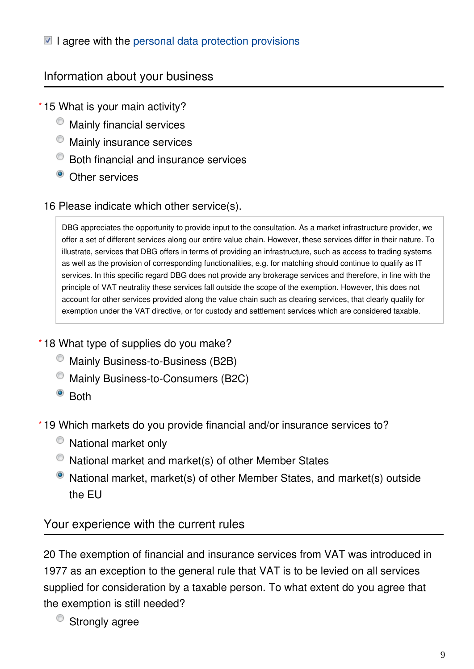### $\blacksquare$  I agree with the [personal data protection provisions](https://ec.europa.eu/info/law/better-regulation/specific-privacy-statement)

### Information about your business

### 15 What is your main activity? **\***

- $\bullet$  Mainly financial services
- $\bullet$  Mainly insurance services
- $\bullet$  Both financial and insurance services
- Other services

### 16 Please indicate which other service(s).

DBG appreciates the opportunity to provide input to the consultation. As a market infrastructure provider, we offer a set of different services along our entire value chain. However, these services differ in their nature. To illustrate, services that DBG offers in terms of providing an infrastructure, such as access to trading systems as well as the provision of corresponding functionalities, e.g. for matching should continue to qualify as IT services. In this specific regard DBG does not provide any brokerage services and therefore, in line with the principle of VAT neutrality these services fall outside the scope of the exemption. However, this does not account for other services provided along the value chain such as clearing services, that clearly qualify for exemption under the VAT directive, or for custody and settlement services which are considered taxable.

### 18 What type of supplies do you make? **\***

- $\bullet$  Mainly Business-to-Business (B2B)
- Mainly Business-to-Consumers (B2C)
- <sup>o</sup> Both

19 Which markets do you provide financial and/or insurance services to? **\***

- $\bullet$  National market only
- National market and market(s) of other Member States
- National market, market(s) of other Member States, and market(s) outside the EU

### Your experience with the current rules

20 The exemption of financial and insurance services from VAT was introduced in 1977 as an exception to the general rule that VAT is to be levied on all services supplied for consideration by a taxable person. To what extent do you agree that the exemption is still needed?

<sup>O</sup> Strongly agree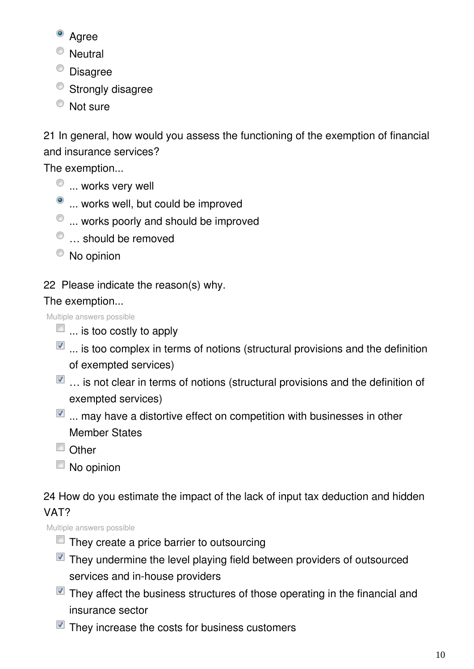- <sup>o</sup> Agree
- <sup>O</sup> Neutral
- Disagree
- Strongly disagree
- <sup>O</sup> Not sure

21 In general, how would you assess the functioning of the exemption of financial and insurance services?

The exemption...

- $\bullet$  ... works very well
- $\bullet$  ... works well, but could be improved
- $\bullet$  ... works poorly and should be improved
- $\bullet$  ... should be removed
- <sup>O</sup> No opinion

# 22 Please indicate the reason(s) why.

### The exemption...

Multiple answers possible

- $\Box$  ... is too costly to apply
- $\blacksquare$  ... is too complex in terms of notions (structural provisions and the definition of exempted services)
- $\blacksquare$  ... is not clear in terms of notions (structural provisions and the definition of exempted services)
- $\blacksquare$  ... may have a distortive effect on competition with businesses in other Member States
- Other
- $\Box$  No opinion

24 How do you estimate the impact of the lack of input tax deduction and hidden VAT?

Multiple answers possible

- $\Box$  They create a price barrier to outsourcing
- $\blacksquare$  They undermine the level playing field between providers of outsourced services and in-house providers
- $\blacksquare$  They affect the business structures of those operating in the financial and insurance sector
- $\blacksquare$  They increase the costs for business customers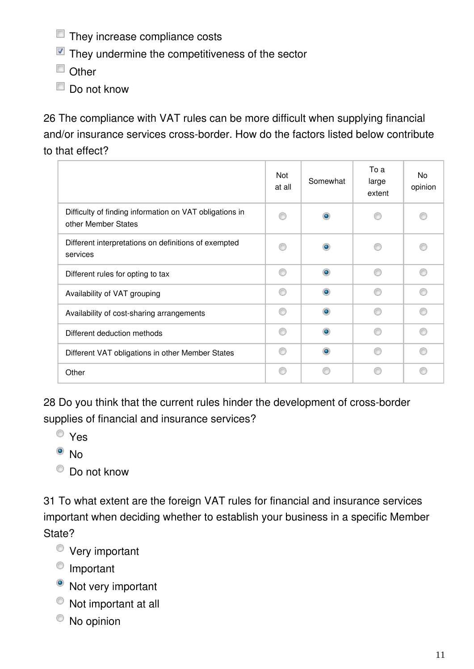- **They increase compliance costs**
- $\blacksquare$  They undermine the competitiveness of the sector
- Other
- $\Box$  Do not know

26 The compliance with VAT rules can be more difficult when supplying financial and/or insurance services cross-border. How do the factors listed below contribute to that effect?

|                                                                                | Not<br>at all | Somewhat       | To a<br>large<br>extent | No<br>opinion |
|--------------------------------------------------------------------------------|---------------|----------------|-------------------------|---------------|
| Difficulty of finding information on VAT obligations in<br>other Member States | ⋒             | $\circledcirc$ |                         |               |
| Different interpretations on definitions of exempted<br>services               |               | ۰              |                         |               |
| Different rules for opting to tax                                              | ⋒             | $\bullet$      | ⋒                       | ⋒             |
| Availability of VAT grouping                                                   | ⋒             | ۰              |                         | C             |
| Availability of cost-sharing arrangements                                      | ⋒             | $\circledcirc$ |                         | C             |
| Different deduction methods                                                    | ⋒             | $\bullet$      |                         | ⋒             |
| Different VAT obligations in other Member States                               | A             | ۰              |                         | o             |
| Other                                                                          | ⋒             |                |                         |               |

28 Do you think that the current rules hinder the development of cross-border supplies of financial and insurance services?

- Yes
- $\bullet$  No
- $\bullet$  Do not know

31 To what extent are the foreign VAT rules for financial and insurance services important when deciding whether to establish your business in a specific Member State?

- Very important
- <sup>O</sup> Important
- Not very important
- Not important at all
- $\bullet$  No opinion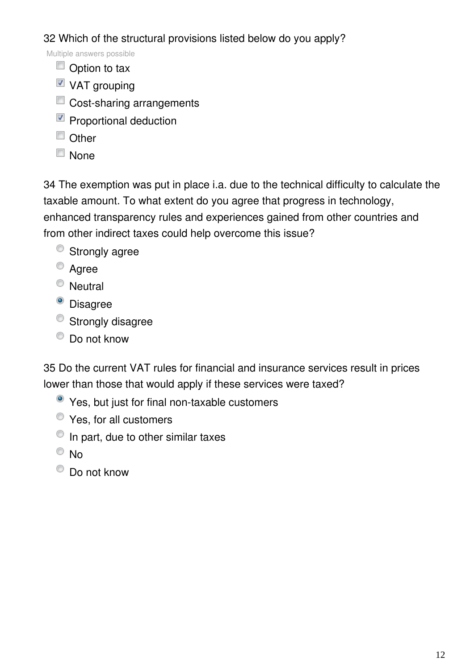32 Which of the structural provisions listed below do you apply?

Multiple answers possible

- Option to tax
- VAT grouping
- Cost-sharing arrangements
- Proportional deduction
- $\Box$  Other
- **None**

34 The exemption was put in place i.a. due to the technical difficulty to calculate the taxable amount. To what extent do you agree that progress in technology, enhanced transparency rules and experiences gained from other countries and from other indirect taxes could help overcome this issue?

- <sup>o</sup> Strongly agree
- Agree
- <sup>O</sup> Neutral
- <sup>o</sup> Disagree
- <sup>o</sup> Strongly disagree
- $\bullet$  Do not know

35 Do the current VAT rules for financial and insurance services result in prices lower than those that would apply if these services were taxed?

- Yes, but just for final non-taxable customers
- Yes, for all customers
- $\bullet$  In part, due to other similar taxes
- <sup>O</sup>No
- Do not know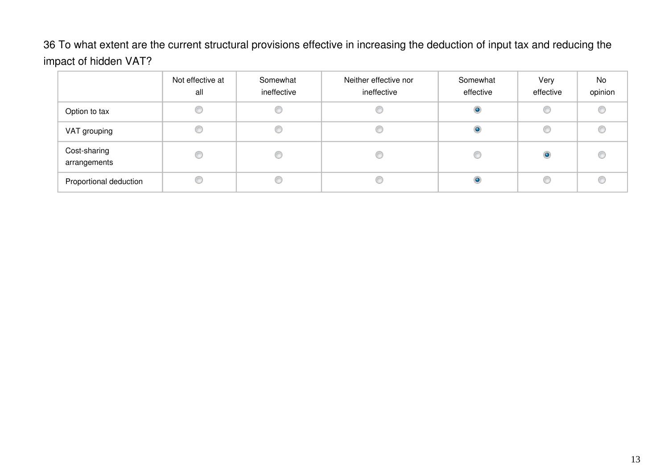36 To what extent are the current structural provisions effective in increasing the deduction of input tax and reducing the impact of hidden VAT?

|                              | Not effective at<br>all | Somewhat<br>ineffective | Neither effective nor<br>ineffective | Somewhat<br>effective | Very<br>effective | No<br>opinion |
|------------------------------|-------------------------|-------------------------|--------------------------------------|-----------------------|-------------------|---------------|
| Option to tax                |                         |                         |                                      |                       | C                 | ⋒             |
| VAT grouping                 |                         |                         |                                      |                       |                   |               |
| Cost-sharing<br>arrangements |                         |                         |                                      |                       | $\circ$           |               |
| Proportional deduction       |                         |                         |                                      |                       | €                 |               |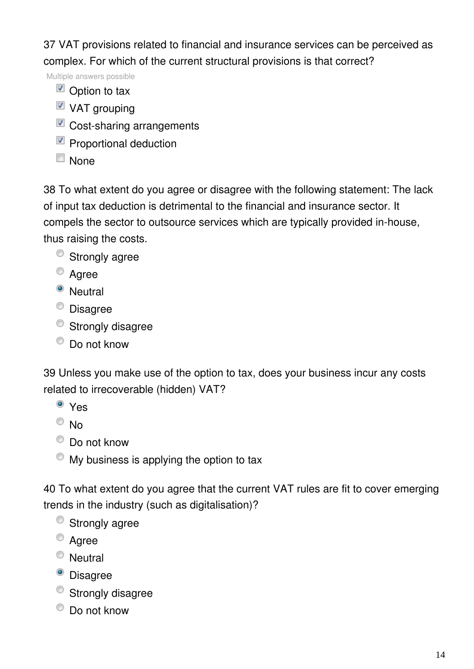37 VAT provisions related to financial and insurance services can be perceived as complex. For which of the current structural provisions is that correct?

Multiple answers possible

- $\blacksquare$  Option to tax
- $\blacksquare$  VAT grouping
- Cost-sharing arrangements
- $\nabla$  Proportional deduction
- None

38 To what extent do you agree or disagree with the following statement: The lack of input tax deduction is detrimental to the financial and insurance sector. It compels the sector to outsource services which are typically provided in-house, thus raising the costs.

- <sup>o</sup> Strongly agree
- <sup>O</sup> Agree
- <sup>O</sup> Neutral
- Disagree
- <sup>o</sup> Strongly disagree
- C Do not know

39 Unless you make use of the option to tax, does your business incur any costs related to irrecoverable (hidden) VAT?

- <sup>o</sup> Yes
- $\odot$  No
- $\bullet$  Do not know
- $\bullet$  My business is applying the option to tax

40 To what extent do you agree that the current VAT rules are fit to cover emerging trends in the industry (such as digitalisation)?

- <sup>O</sup> Strongly agree
- <sup>O</sup> Agree
- <sup>O</sup> Neutral
- <sup>o</sup> Disagree
- <sup>o</sup> Strongly disagree
- $\bullet$  Do not know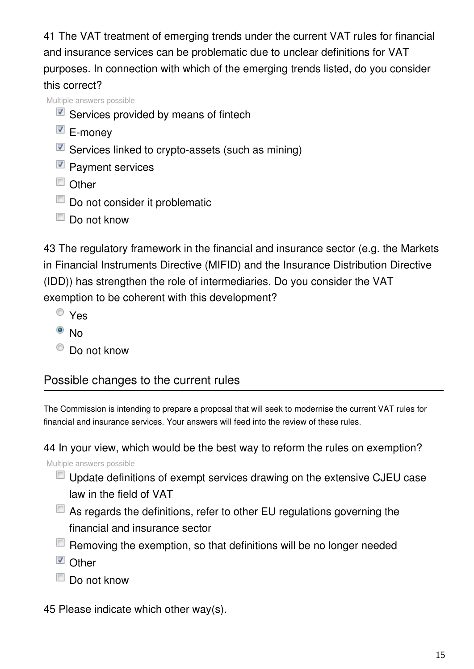41 The VAT treatment of emerging trends under the current VAT rules for financial and insurance services can be problematic due to unclear definitions for VAT purposes. In connection with which of the emerging trends listed, do you consider this correct?

Multiple answers possible

- $\blacksquare$  Services provided by means of fintech
- E-money
- Services linked to crypto-assets (such as mining)
- **Payment services**
- Other
- Do not consider it problematic
- Do not know

43 The regulatory framework in the financial and insurance sector (e.g. the Markets in Financial Instruments Directive (MIFID) and the Insurance Distribution Directive (IDD)) has strengthen the role of intermediaries. Do you consider the VAT exemption to be coherent with this development?

- Yes
- $\bullet$  No
- $\bullet$  Do not know

# Possible changes to the current rules

The Commission is intending to prepare a proposal that will seek to modernise the current VAT rules for financial and insurance services. Your answers will feed into the review of these rules.

44 In your view, which would be the best way to reform the rules on exemption?

Multiple answers possible

- Update definitions of exempt services drawing on the extensive CJEU case law in the field of VAT
- $\Box$  As regards the definitions, refer to other EU regulations governing the financial and insurance sector
- $\Box$  Removing the exemption, so that definitions will be no longer needed
- **D** Other
- Do not know
- 45 Please indicate which other way(s).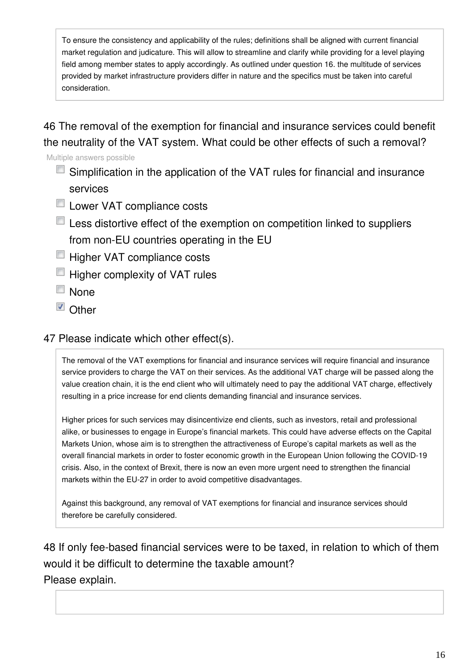To ensure the consistency and applicability of the rules; definitions shall be aligned with current financial market regulation and judicature. This will allow to streamline and clarify while providing for a level playing field among member states to apply accordingly. As outlined under question 16. the multitude of services provided by market infrastructure providers differ in nature and the specifics must be taken into careful consideration.

46 The removal of the exemption for financial and insurance services could benefit the neutrality of the VAT system. What could be other effects of such a removal?

Multiple answers possible

- Simplification in the application of the VAT rules for financial and insurance services
- **Lower VAT compliance costs**
- **Less distortive effect of the exemption on competition linked to suppliers** from non-EU countries operating in the EU
- Higher VAT compliance costs
- **Higher complexity of VAT rules**
- None
- **D** Other

### 47 Please indicate which other effect(s).

The removal of the VAT exemptions for financial and insurance services will require financial and insurance service providers to charge the VAT on their services. As the additional VAT charge will be passed along the value creation chain, it is the end client who will ultimately need to pay the additional VAT charge, effectively resulting in a price increase for end clients demanding financial and insurance services.

Higher prices for such services may disincentivize end clients, such as investors, retail and professional alike, or businesses to engage in Europe's financial markets. This could have adverse effects on the Capital Markets Union, whose aim is to strengthen the attractiveness of Europe's capital markets as well as the overall financial markets in order to foster economic growth in the European Union following the COVID-19 crisis. Also, in the context of Brexit, there is now an even more urgent need to strengthen the financial markets within the EU-27 in order to avoid competitive disadvantages.

Against this background, any removal of VAT exemptions for financial and insurance services should therefore be carefully considered.

48 If only fee-based financial services were to be taxed, in relation to which of them would it be difficult to determine the taxable amount? Please explain.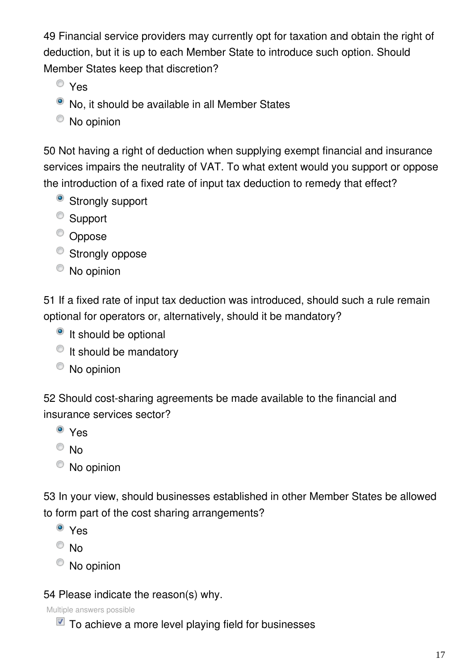49 Financial service providers may currently opt for taxation and obtain the right of deduction, but it is up to each Member State to introduce such option. Should Member States keep that discretion?

- Yes
- No, it should be available in all Member States
- No opinion

50 Not having a right of deduction when supplying exempt financial and insurance services impairs the neutrality of VAT. To what extent would you support or oppose the introduction of a fixed rate of input tax deduction to remedy that effect?

- <sup>o</sup> Strongly support
- <sup>O</sup> Support
- <sup>O</sup> Oppose
- <sup>o</sup> Strongly oppose
- No opinion

51 If a fixed rate of input tax deduction was introduced, should such a rule remain optional for operators or, alternatively, should it be mandatory?

- <sup>o</sup> It should be optional
- $\bullet$  It should be mandatory
- No opinion

52 Should cost-sharing agreements be made available to the financial and insurance services sector?

- <sup>o</sup> Yes
- $\circ$  No
- No opinion

53 In your view, should businesses established in other Member States be allowed to form part of the cost sharing arrangements?

- Yes
- $\odot$  No
- <sup>O</sup> No opinion

### 54 Please indicate the reason(s) why.

Multiple answers possible

 $\blacksquare$  To achieve a more level playing field for businesses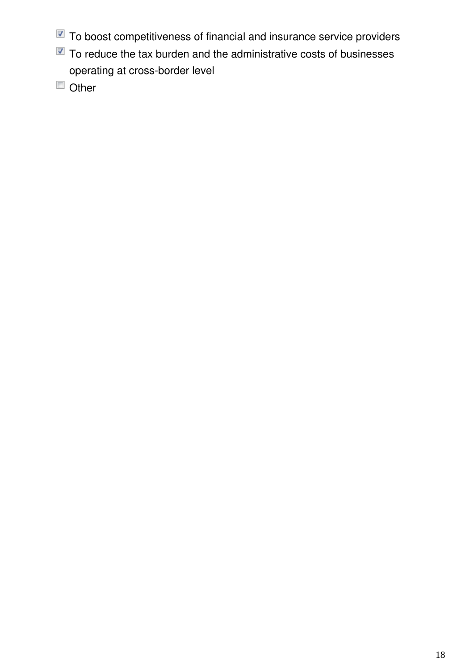- To boost competitiveness of financial and insurance service providers
- $\blacksquare$  To reduce the tax burden and the administrative costs of businesses operating at cross-border level
- Other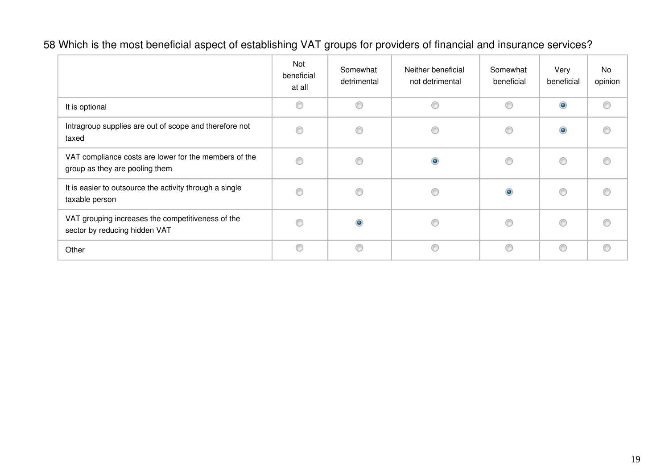# 58 Which is the most beneficial aspect of establishing VAT groups for providers of financial and insurance services?

|                                                                                         | Not<br>beneficial<br>at all | Somewhat<br>detrimental | Neither beneficial<br>not detrimental | Somewhat<br>beneficial | Very<br>beneficial | No<br>opinion |
|-----------------------------------------------------------------------------------------|-----------------------------|-------------------------|---------------------------------------|------------------------|--------------------|---------------|
| It is optional                                                                          | ⋒                           | 0                       | ⊙                                     | C                      | $\bullet$          | ⋒             |
| Intragroup supplies are out of scope and therefore not<br>taxed                         |                             | ⊙                       |                                       | €                      | $\bullet$          |               |
| VAT compliance costs are lower for the members of the<br>group as they are pooling them | ⋒                           | ◉                       | $\bullet$                             | ⋒                      | ◎                  | ⋒             |
| It is easier to outsource the activity through a single<br>taxable person               |                             | ⊙                       | €                                     | $\bullet$              | C                  |               |
| VAT grouping increases the competitiveness of the<br>sector by reducing hidden VAT      |                             | $\bullet$               |                                       |                        | O                  |               |
| Other                                                                                   | ◉                           | ◉                       | ◎                                     | ⊙                      | ⊙                  | C             |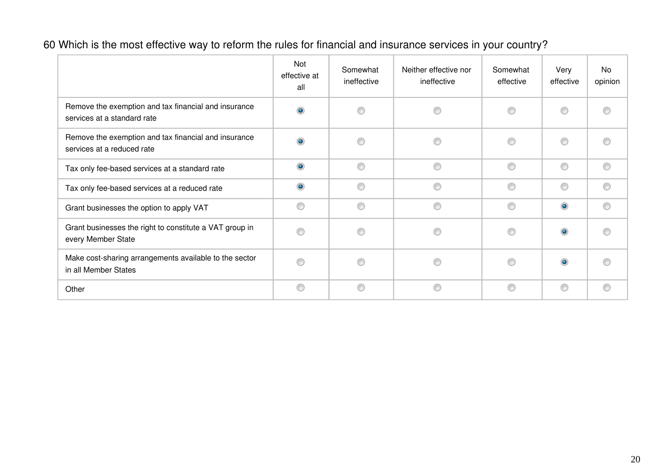60 Which is the most effective way to reform the rules for financial and insurance services in your country?

|                                                                                     | Not<br>effective at<br>all | Somewhat<br>ineffective | Neither effective nor<br>ineffective | Somewhat<br>effective | Very<br>effective | No<br>opinion |
|-------------------------------------------------------------------------------------|----------------------------|-------------------------|--------------------------------------|-----------------------|-------------------|---------------|
| Remove the exemption and tax financial and insurance<br>services at a standard rate | $\bullet$                  |                         |                                      | ◎                     | ⊙                 |               |
| Remove the exemption and tax financial and insurance<br>services at a reduced rate  |                            |                         | ∩                                    | ◉                     | 0                 | €             |
| Tax only fee-based services at a standard rate                                      | $\bullet$                  |                         |                                      | ⊙                     | ◉                 | ∩             |
| Tax only fee-based services at a reduced rate                                       | $\bullet$                  |                         |                                      | ∩                     | ⊙                 | ⋒             |
| Grant businesses the option to apply VAT                                            | ∩                          | ⋒                       |                                      | ⊙                     | $\odot$           | ⋒             |
| Grant businesses the right to constitute a VAT group in<br>every Member State       |                            | ⋒                       |                                      | ⊙                     | $\bullet$         |               |
| Make cost-sharing arrangements available to the sector<br>in all Member States      |                            |                         |                                      | ⋒                     | $\bullet$         |               |
| Other                                                                               | ⊙                          | ⊙                       | ⊙                                    | ⊙                     | ◉                 | ∩             |